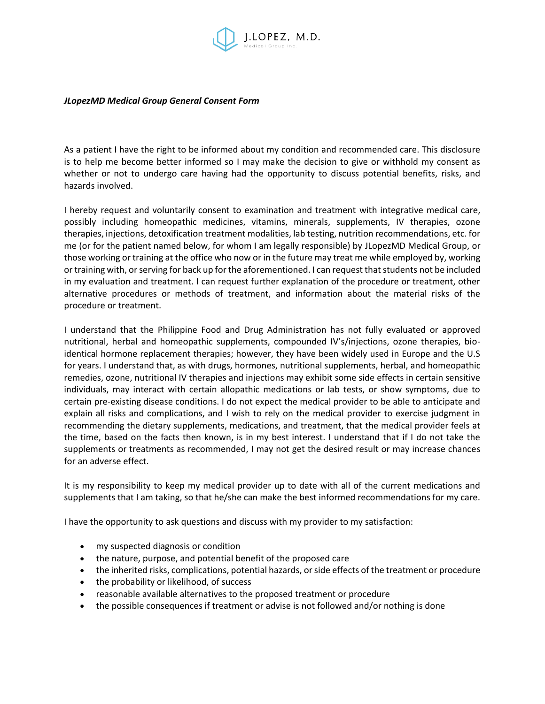

## *JLopezMD Medical Group General Consent Form*

As a patient I have the right to be informed about my condition and recommended care. This disclosure is to help me become better informed so I may make the decision to give or withhold my consent as whether or not to undergo care having had the opportunity to discuss potential benefits, risks, and hazards involved.

I hereby request and voluntarily consent to examination and treatment with integrative medical care, possibly including homeopathic medicines, vitamins, minerals, supplements, IV therapies, ozone therapies, injections, detoxification treatment modalities, lab testing, nutrition recommendations, etc. for me (or for the patient named below, for whom I am legally responsible) by JLopezMD Medical Group, or those working or training at the office who now or in the future may treat me while employed by, working or training with, or serving for back up for the aforementioned. I can request that students not be included in my evaluation and treatment. I can request further explanation of the procedure or treatment, other alternative procedures or methods of treatment, and information about the material risks of the procedure or treatment.

I understand that the Philippine Food and Drug Administration has not fully evaluated or approved nutritional, herbal and homeopathic supplements, compounded IV's/injections, ozone therapies, bioidentical hormone replacement therapies; however, they have been widely used in Europe and the U.S for years. I understand that, as with drugs, hormones, nutritional supplements, herbal, and homeopathic remedies, ozone, nutritional IV therapies and injections may exhibit some side effects in certain sensitive individuals, may interact with certain allopathic medications or lab tests, or show symptoms, due to certain pre-existing disease conditions. I do not expect the medical provider to be able to anticipate and explain all risks and complications, and I wish to rely on the medical provider to exercise judgment in recommending the dietary supplements, medications, and treatment, that the medical provider feels at the time, based on the facts then known, is in my best interest. I understand that if I do not take the supplements or treatments as recommended, I may not get the desired result or may increase chances for an adverse effect.

It is my responsibility to keep my medical provider up to date with all of the current medications and supplements that I am taking, so that he/she can make the best informed recommendations for my care.

I have the opportunity to ask questions and discuss with my provider to my satisfaction:

- my suspected diagnosis or condition
- the nature, purpose, and potential benefit of the proposed care
- the inherited risks, complications, potential hazards, or side effects of the treatment or procedure
- the probability or likelihood, of success
- reasonable available alternatives to the proposed treatment or procedure
- the possible consequences if treatment or advise is not followed and/or nothing is done